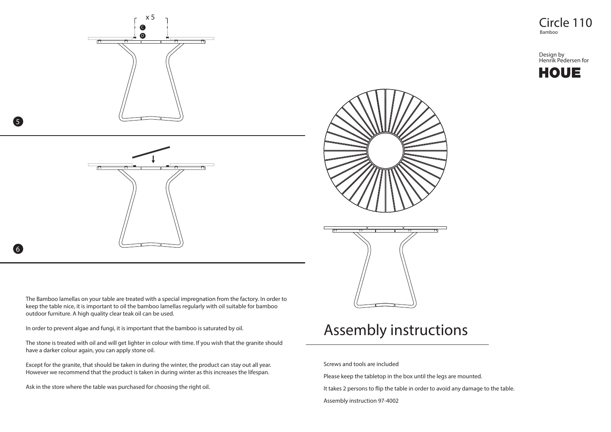

5

6



The Bamboo lamellas on your table are treated with a special impregnation from the factory. In order to keep the table nice, it is important to oil the bamboo lamellas regularly with oil suitable for bamboo outdoor furniture. A high quality clear teak oil can be used.

In order to prevent algae and fungi, it is important that the bamboo is saturated by oil.

The stone is treated with oil and will get lighter in colour with time. If you wish that the granite should have a darker colour again, you can apply stone oil.

Except for the granite, that should be taken in during the winter, the product can stay out all year. However we recommend that the product is taken in during winter as this increases the lifespan.

Ask in the store where the table was purchased for choosing the right oil.





## Assembly instructions

Screws and tools are included

Please keep the tabletop in the box until the legs are mounted.

It takes 2 persons to flip the table in order to avoid any damage to the table.

Assembly instruction 97-4002

Bamboo

Design by Henrik Pedersen for **HOUE**